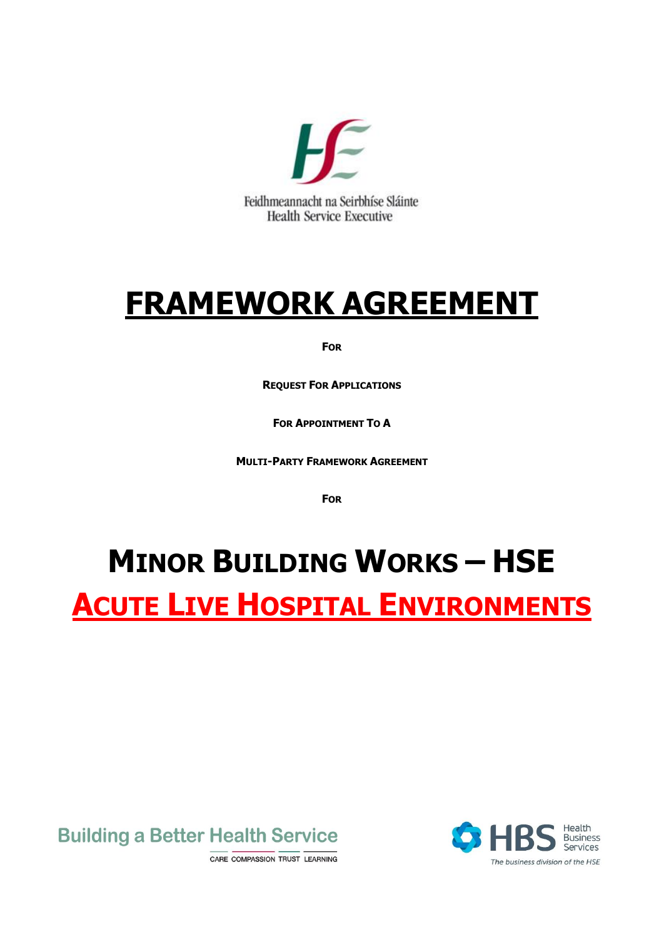

## **FRAMEWORK AGREEMENT**

**FOR**

**REQUEST FOR APPLICATIONS**

**FOR APPOINTMENT TO A**

**MULTI-PARTY FRAMEWORK AGREEMENT**

**FOR**

# **MINOR BUILDING WORKS – HSE ACUTE LIVE HOSPITAL ENVIRONMENTS**

**Building a Better Health Service** 

CARE COMPASSION TRUST LEARNING

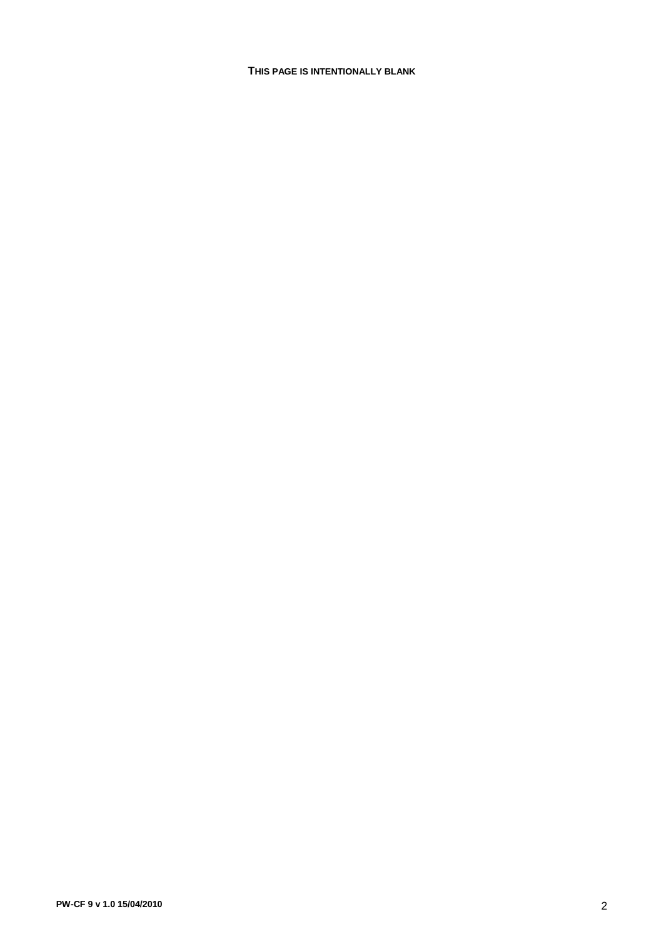**THIS PAGE IS INTENTIONALLY BLANK**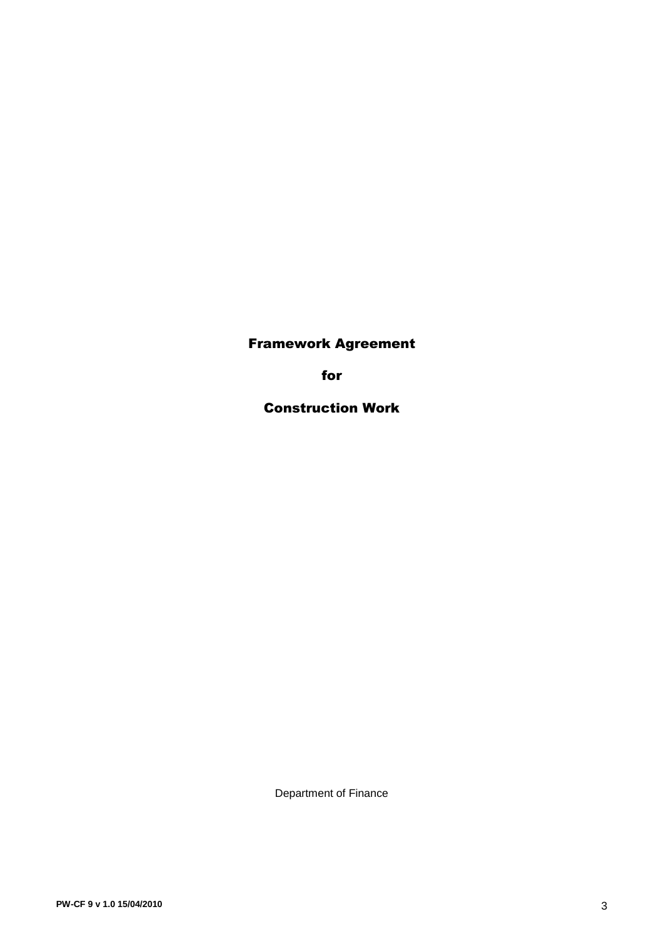### Framework Agreement

for

Construction Work

Department of Finance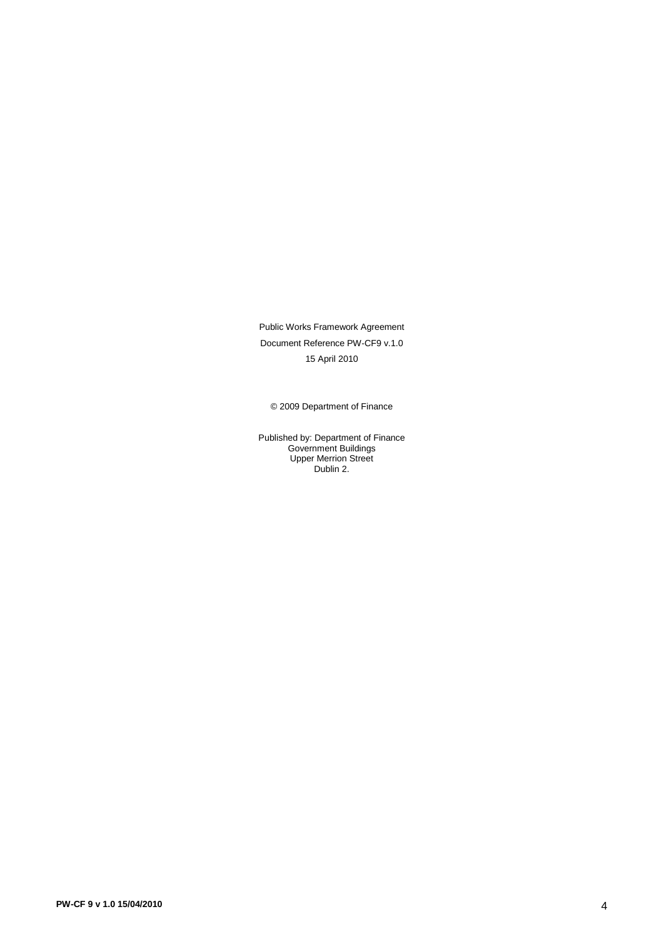Public Works Framework Agreement Document Reference PW-CF9 v.1.0 15 April 2010

© 2009 Department of Finance

Published by: Department of Finance Government Buildings Upper Merrion Street Dublin 2.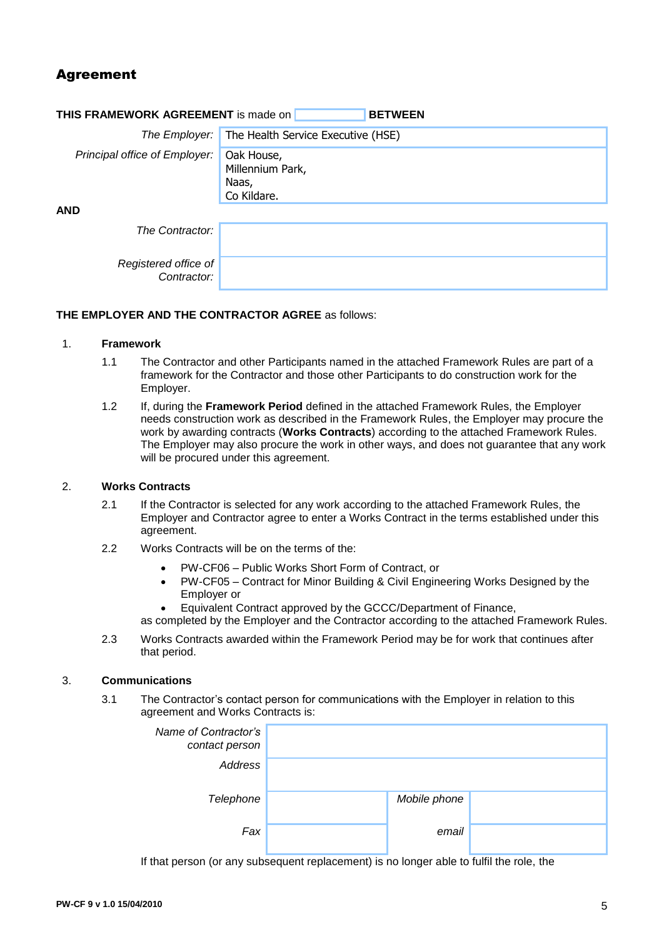#### **Agreement**

| <b>THIS FRAMEWORK AGREEMENT</b> is made on<br><b>BETWEEN</b> |                                                        |  |  |  |
|--------------------------------------------------------------|--------------------------------------------------------|--|--|--|
|                                                              | The Employer: The Health Service Executive (HSE)       |  |  |  |
| Principal office of Employer:                                | Oak House,<br>Millennium Park,<br>Naas,<br>Co Kildare. |  |  |  |
| <b>AND</b>                                                   |                                                        |  |  |  |
| The Contractor:                                              |                                                        |  |  |  |
| Registered office of<br>Contractor:                          |                                                        |  |  |  |

#### **THE EMPLOYER AND THE CONTRACTOR AGREE** as follows:

#### 1. **Framework**

- 1.1 The Contractor and other Participants named in the attached Framework Rules are part of a framework for the Contractor and those other Participants to do construction work for the Employer.
- 1.2 If, during the **Framework Period** defined in the attached Framework Rules, the Employer needs construction work as described in the Framework Rules, the Employer may procure the work by awarding contracts (**Works Contracts**) according to the attached Framework Rules. The Employer may also procure the work in other ways, and does not guarantee that any work will be procured under this agreement.

#### 2. **Works Contracts**

- 2.1 If the Contractor is selected for any work according to the attached Framework Rules, the Employer and Contractor agree to enter a Works Contract in the terms established under this agreement.
- 2.2 Works Contracts will be on the terms of the:
	- PW-CF06 Public Works Short Form of Contract, or
	- PW-CF05 Contract for Minor Building & Civil Engineering Works Designed by the Employer or
	- Equivalent Contract approved by the GCCC/Department of Finance,
	- as completed by the Employer and the Contractor according to the attached Framework Rules.
- 2.3 Works Contracts awarded within the Framework Period may be for work that continues after that period.

#### 3. **Communications**

3.1 The Contractor's contact person for communications with the Employer in relation to this agreement and Works Contracts is:

| Name of Contractor's<br>contact person |              |  |
|----------------------------------------|--------------|--|
| Address                                |              |  |
| Telephone                              | Mobile phone |  |
| Fax                                    | email        |  |

If that person (or any subsequent replacement) is no longer able to fulfil the role, the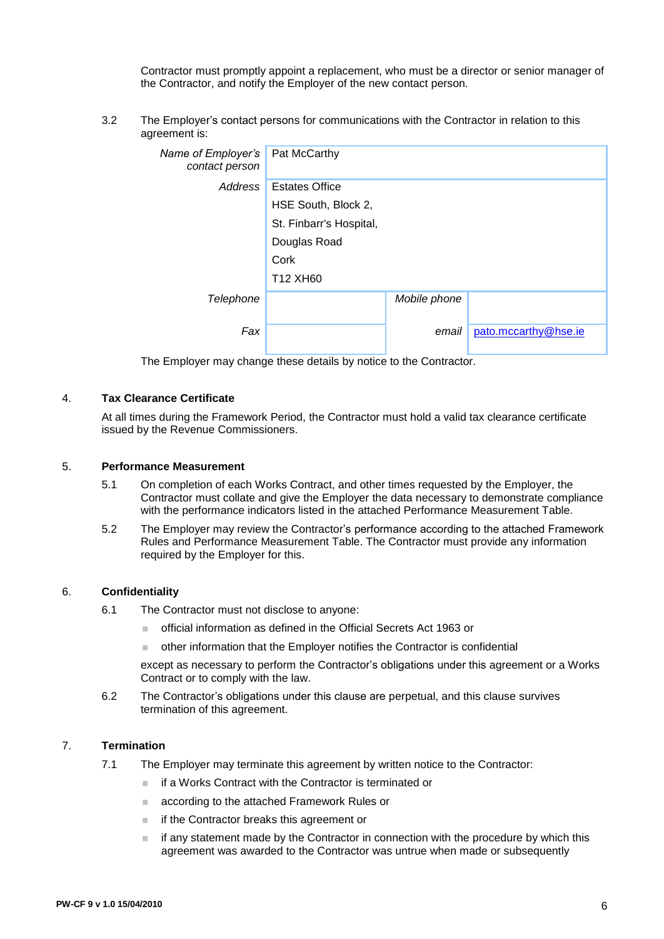Contractor must promptly appoint a replacement, who must be a director or senior manager of the Contractor, and notify the Employer of the new contact person.

3.2 The Employer's contact persons for communications with the Contractor in relation to this agreement is:

| Name of Employer's<br>contact person | Pat McCarthy            |              |                      |
|--------------------------------------|-------------------------|--------------|----------------------|
| Address                              | <b>Estates Office</b>   |              |                      |
|                                      | HSE South, Block 2,     |              |                      |
|                                      | St. Finbarr's Hospital, |              |                      |
|                                      | Douglas Road            |              |                      |
|                                      | Cork                    |              |                      |
|                                      | T12 XH60                |              |                      |
| <b>Telephone</b>                     |                         | Mobile phone |                      |
| Fax                                  |                         | email        | pato.mccarthy@hse.ie |

The Employer may change these details by notice to the Contractor.

#### 4. **Tax Clearance Certificate**

At all times during the Framework Period, the Contractor must hold a valid tax clearance certificate issued by the Revenue Commissioners.

#### 5. **Performance Measurement**

- 5.1 On completion of each Works Contract, and other times requested by the Employer, the Contractor must collate and give the Employer the data necessary to demonstrate compliance with the performance indicators listed in the attached Performance Measurement Table.
- 5.2 The Employer may review the Contractor's performance according to the attached Framework Rules and Performance Measurement Table. The Contractor must provide any information required by the Employer for this.

#### 6. **Confidentiality**

- 6.1 The Contractor must not disclose to anyone:
	- official information as defined in the Official Secrets Act 1963 or
	- other information that the Employer notifies the Contractor is confidential

except as necessary to perform the Contractor's obligations under this agreement or a Works Contract or to comply with the law.

6.2 The Contractor's obligations under this clause are perpetual, and this clause survives termination of this agreement.

#### 7. **Termination**

- 7.1 The Employer may terminate this agreement by written notice to the Contractor:
	- if a Works Contract with the Contractor is terminated or
	- according to the attached Framework Rules or
	- if the Contractor breaks this agreement or
	- $\blacksquare$  if any statement made by the Contractor in connection with the procedure by which this agreement was awarded to the Contractor was untrue when made or subsequently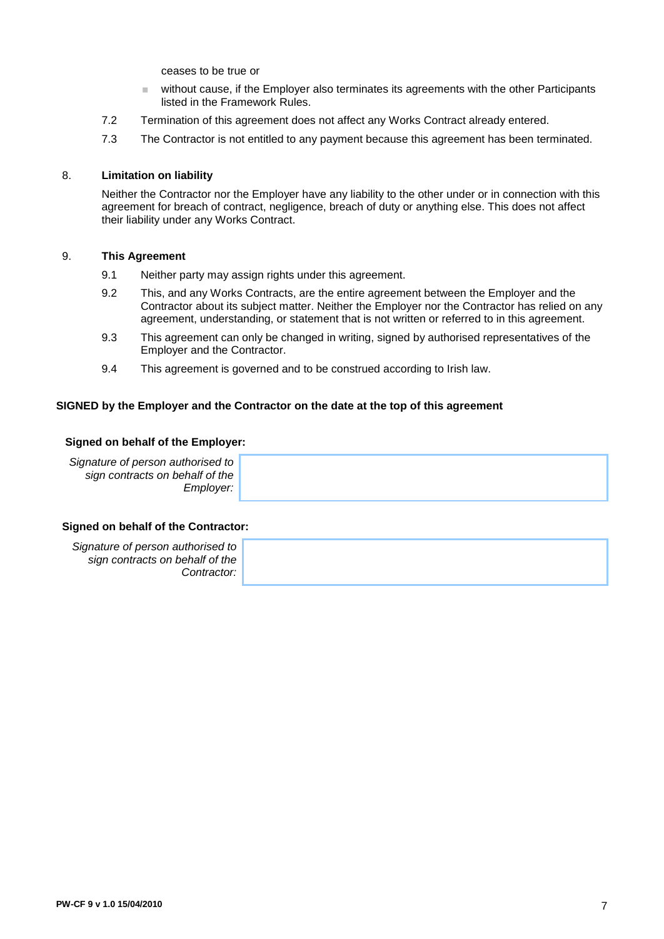ceases to be true or

- **u** without cause, if the Employer also terminates its agreements with the other Participants listed in the Framework Rules.
- 7.2 Termination of this agreement does not affect any Works Contract already entered.
- 7.3 The Contractor is not entitled to any payment because this agreement has been terminated.

#### 8. **Limitation on liability**

Neither the Contractor nor the Employer have any liability to the other under or in connection with this agreement for breach of contract, negligence, breach of duty or anything else. This does not affect their liability under any Works Contract.

#### 9. **This Agreement**

- 9.1 Neither party may assign rights under this agreement.
- 9.2 This, and any Works Contracts, are the entire agreement between the Employer and the Contractor about its subject matter. Neither the Employer nor the Contractor has relied on any agreement, understanding, or statement that is not written or referred to in this agreement.
- 9.3 This agreement can only be changed in writing, signed by authorised representatives of the Employer and the Contractor.
- 9.4 This agreement is governed and to be construed according to Irish law.

#### **SIGNED by the Employer and the Contractor on the date at the top of this agreement**

#### **Signed on behalf of the Employer:**

#### **Signed on behalf of the Contractor:**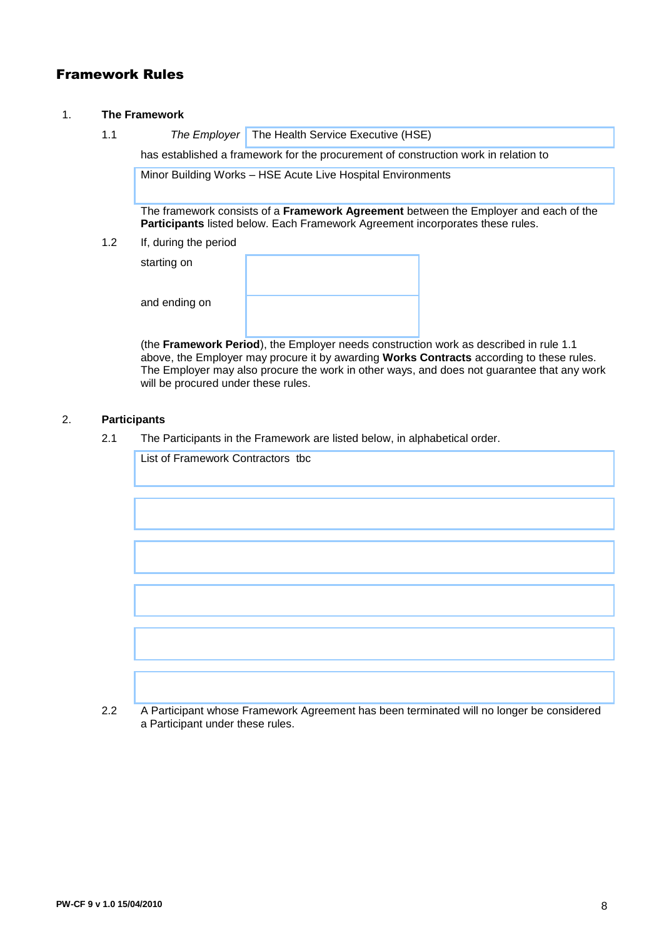#### Framework Rules

#### 1. **The Framework**

1.1 *The Employer* The Health Service Executive (HSE)

has established a framework for the procurement of construction work in relation to

Minor Building Works – HSE Acute Live Hospital Environments

The framework consists of a **Framework Agreement** between the Employer and each of the **Participants** listed below. Each Framework Agreement incorporates these rules.

1.2 If, during the period

| starting on   |  |
|---------------|--|
| and ending on |  |

(the **Framework Period**), the Employer needs construction work as described in rule 1.1 above, the Employer may procure it by awarding **Works Contracts** according to these rules. The Employer may also procure the work in other ways, and does not guarantee that any work will be procured under these rules.

#### 2. **Participants**

2.1 The Participants in the Framework are listed below, in alphabetical order.

List of Framework Contractors tbc

2.2 A Participant whose Framework Agreement has been terminated will no longer be considered a Participant under these rules.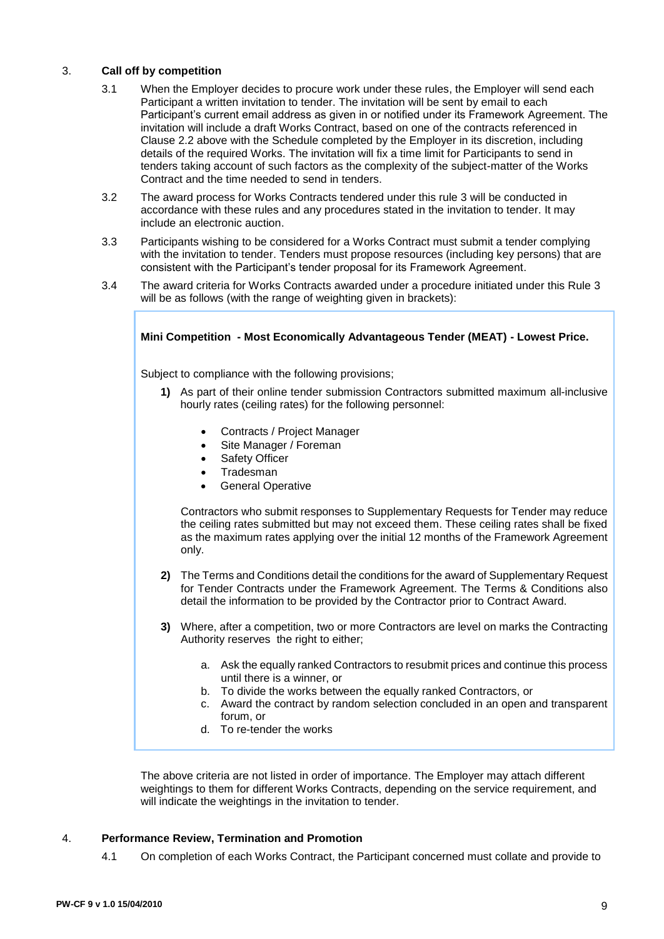#### 3. **Call off by competition**

- 3.1 When the Employer decides to procure work under these rules, the Employer will send each Participant a written invitation to tender. The invitation will be sent by email to each Participant's current email address as given in or notified under its Framework Agreement. The invitation will include a draft Works Contract, based on one of the contracts referenced in Clause 2.2 above with the Schedule completed by the Employer in its discretion, including details of the required Works. The invitation will fix a time limit for Participants to send in tenders taking account of such factors as the complexity of the subject-matter of the Works Contract and the time needed to send in tenders.
- 3.2 The award process for Works Contracts tendered under this rule 3 will be conducted in accordance with these rules and any procedures stated in the invitation to tender. It may include an electronic auction.
- 3.3 Participants wishing to be considered for a Works Contract must submit a tender complying with the invitation to tender. Tenders must propose resources (including key persons) that are consistent with the Participant's tender proposal for its Framework Agreement.
- 3.4 The award criteria for Works Contracts awarded under a procedure initiated under this Rule 3 will be as follows (with the range of weighting given in brackets):



d. To re-tender the works

The above criteria are not listed in order of importance. The Employer may attach different weightings to them for different Works Contracts, depending on the service requirement, and will indicate the weightings in the invitation to tender.

#### 4. **Performance Review, Termination and Promotion**

4.1 On completion of each Works Contract, the Participant concerned must collate and provide to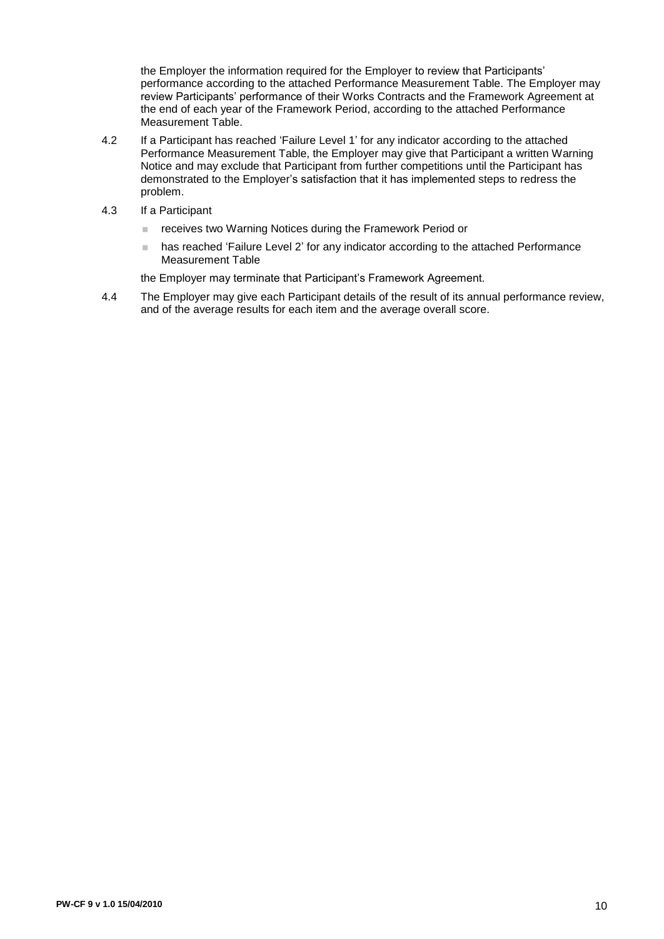the Employer the information required for the Employer to review that Participants' performance according to the attached Performance Measurement Table. The Employer may review Participants' performance of their Works Contracts and the Framework Agreement at the end of each year of the Framework Period, according to the attached Performance Measurement Table.

- 4.2 If a Participant has reached 'Failure Level 1' for any indicator according to the attached Performance Measurement Table, the Employer may give that Participant a written Warning Notice and may exclude that Participant from further competitions until the Participant has demonstrated to the Employer's satisfaction that it has implemented steps to redress the problem.
- 4.3 If a Participant
	- receives two Warning Notices during the Framework Period or
	- **has reached 'Failure Level 2' for any indicator according to the attached Performance** Measurement Table

the Employer may terminate that Participant's Framework Agreement.

4.4 The Employer may give each Participant details of the result of its annual performance review, and of the average results for each item and the average overall score.